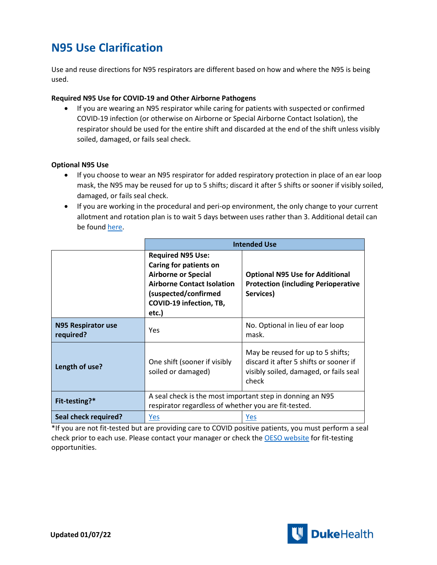# **N95 Use Clarification**

Use and reuse directions for N95 respirators are different based on how and where the N95 is being used.

#### **Required N95 Use for COVID-19 and Other Airborne Pathogens**

• If you are wearing an N95 respirator while caring for patients with suspected or confirmed COVID-19 infection (or otherwise on Airborne or Special Airborne Contact Isolation), the respirator should be used for the entire shift and discarded at the end of the shift unless visibly soiled, damaged, or fails seal check.

#### **Optional N95 Use**

- If you choose to wear an N95 respirator for added respiratory protection in place of an ear loop mask, the N95 may be reused for up to 5 shifts; discard it after 5 shifts or sooner if visibly soiled, damaged, or fails seal check.
- If you are working in the procedural and peri-op environment, the only change to your current allotment and rotation plan is to wait 5 days between uses rather than 3. Additional detail can be foun[d here.](https://covid-19.dukehealth.org/documents/guidelines-use-different-models-n95-respirators-duke-health)

|                                 | <b>Intended Use</b>                                                                                                                                                               |                                                                                                                                |
|---------------------------------|-----------------------------------------------------------------------------------------------------------------------------------------------------------------------------------|--------------------------------------------------------------------------------------------------------------------------------|
|                                 | <b>Required N95 Use:</b><br>Caring for patients on<br><b>Airborne or Special</b><br><b>Airborne Contact Isolation</b><br>(suspected/confirmed<br>COVID-19 infection, TB,<br>etc.) | <b>Optional N95 Use for Additional</b><br><b>Protection (including Perioperative</b><br>Services)                              |
| N95 Respirator use<br>required? | Yes                                                                                                                                                                               | No. Optional in lieu of ear loop<br>mask.                                                                                      |
| Length of use?                  | One shift (sooner if visibly<br>soiled or damaged)                                                                                                                                | May be reused for up to 5 shifts;<br>discard it after 5 shifts or sooner if<br>visibly soiled, damaged, or fails seal<br>check |
| Fit-testing?*                   | A seal check is the most important step in donning an N95<br>respirator regardless of whether you are fit-tested.                                                                 |                                                                                                                                |
| Seal check required?            | <u>Yes</u>                                                                                                                                                                        | Yes                                                                                                                            |

\*If you are not fit-tested but are providing care to COVID positive patients, you must perform a seal check prior to each use. Please contact your manager or check th[e OESO website](https://www.safety.duke.edu/occupational-hygiene-safety/personal-protective-equipment/respiratory-protection/upcoming-fit-test-sessions) for fit-testing opportunities.

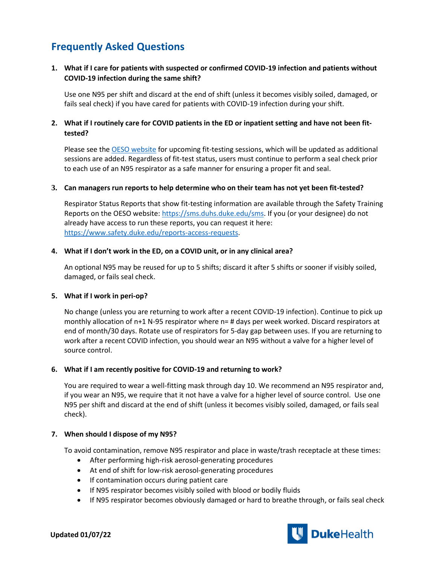# **Frequently Asked Questions**

## **1. What if I care for patients with suspected or confirmed COVID-19 infection and patients without COVID-19 infection during the same shift?**

Use one N95 per shift and discard at the end of shift (unless it becomes visibly soiled, damaged, or fails seal check) if you have cared for patients with COVID-19 infection during your shift.

## **2. What if I routinely care for COVID patients in the ED or inpatient setting and have not been fittested?**

Please see the [OESO website](https://www.safety.duke.edu/occupational-hygiene-safety/personal-protective-equipment/respiratory-protection/upcoming-fit-test-sessions) for upcoming fit-testing sessions, which will be updated as additional sessions are added. Regardless of fit-test status, users must continue to perform a seal check prior to each use of an N95 respirator as a safe manner for ensuring a proper fit and seal.

#### **3. Can managers run reports to help determine who on their team has not yet been fit-tested?**

Respirator Status Reports that show fit-testing information are available through the Safety Training Reports on the OESO website: [https://sms.duhs.duke.edu/sms.](https://sms.duhs.duke.edu/sms) If you (or your designee) do not already have access to run these reports, you can request it here: [https://www.safety.duke.edu/reports-access-requests.](https://www.safety.duke.edu/reports-access-requests)

#### **4. What if I don't work in the ED, on a COVID unit, or in any clinical area?**

An optional N95 may be reused for up to 5 shifts; discard it after 5 shifts or sooner if visibly soiled, damaged, or fails seal check.

#### **5. What if I work in peri-op?**

No change (unless you are returning to work after a recent COVID-19 infection). Continue to pick up monthly allocation of n+1 N-95 respirator where n= # days per week worked. Discard respirators at end of month/30 days. Rotate use of respirators for 5-day gap between uses. If you are returning to work after a recent COVID infection, you should wear an N95 without a valve for a higher level of source control.

#### **6. What if I am recently positive for COVID-19 and returning to work?**

You are required to wear a well-fitting mask through day 10. We recommend an N95 respirator and, if you wear an N95, we require that it not have a valve for a higher level of source control. Use one N95 per shift and discard at the end of shift (unless it becomes visibly soiled, damaged, or fails seal check).

#### **7. When should I dispose of my N95?**

To avoid contamination, remove N95 respirator and place in waste/trash receptacle at these times:

- After performing high-risk aerosol-generating procedures
- At end of shift for low-risk aerosol-generating procedures
- If contamination occurs during patient care
- If N95 respirator becomes visibly soiled with blood or bodily fluids
- If N95 respirator becomes obviously damaged or hard to breathe through, or fails seal check